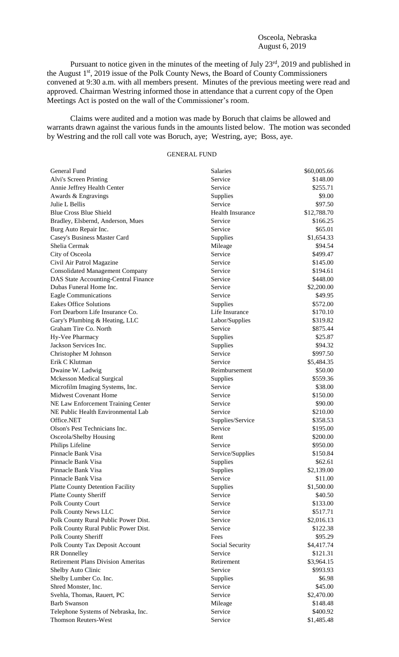## Osceola, Nebraska August 6, 2019

Pursuant to notice given in the minutes of the meeting of July 23<sup>rd</sup>, 2019 and published in the August 1<sup>st</sup>, 2019 issue of the Polk County News, the Board of County Commissioners convened at 9:30 a.m. with all members present. Minutes of the previous meeting were read and approved. Chairman Westring informed those in attendance that a current copy of the Open Meetings Act is posted on the wall of the Commissioner's room.

Claims were audited and a motion was made by Boruch that claims be allowed and warrants drawn against the various funds in the amounts listed below. The motion was seconded by Westring and the roll call vote was Boruch, aye; Westring, aye; Boss, aye.

# GENERAL FUND

| General Fund                                      | Salaries                | \$60,005.66 |
|---------------------------------------------------|-------------------------|-------------|
| Alvi's Screen Printing                            | Service                 | \$148.00    |
| Annie Jeffrey Health Center                       | Service                 | \$255.71    |
| Awards & Engravings                               | Supplies                | \$9.00      |
| Julie L Bellis                                    | Service                 | \$97.50     |
| <b>Blue Cross Blue Shield</b>                     | <b>Health Insurance</b> | \$12,788.70 |
| Bradley, Elsbernd, Anderson, Mues                 | Service                 | \$166.25    |
| Burg Auto Repair Inc.                             | Service                 | \$65.01     |
| Casey's Business Master Card                      | Supplies                | \$1,654.33  |
| Shelia Cermak                                     | Mileage                 | \$94.54     |
| City of Osceola                                   | Service                 | \$499.47    |
| Civil Air Patrol Magazine                         | Service                 | \$145.00    |
| <b>Consolidated Management Company</b>            | Service                 | \$194.61    |
| DAS State Accounting-Central Finance              | Service                 | \$448.00    |
| Dubas Funeral Home Inc.                           | Service                 | \$2,200.00  |
| Eagle Communications                              | Service                 | \$49.95     |
| <b>Eakes Office Solutions</b>                     | Supplies                | \$572.00    |
| Fort Dearborn Life Insurance Co.                  | Life Insurance          | \$170.10    |
| Gary's Plumbing & Heating, LLC                    | Labor/Supplies          | \$319.82    |
| Graham Tire Co. North                             | Service                 | \$875.44    |
| Hy-Vee Pharmacy                                   | Supplies                | \$25.87     |
| Jackson Services Inc.                             | Supplies                | \$94.32     |
| Christopher M Johnson                             | Service                 | \$997.50    |
| Erik C Klutman                                    | Service                 | \$5,484.35  |
| Dwaine W. Ladwig                                  | Reimbursement           | \$50.00     |
| <b>Mckesson Medical Surgical</b>                  | Supplies                | \$559.36    |
| Microfilm Imaging Systems, Inc.                   | Service                 | \$38.00     |
| <b>Midwest Covenant Home</b>                      | Service                 | \$150.00    |
| NE Law Enforcement Training Center                | Service                 | \$90.00     |
| NE Public Health Environmental Lab                | Service                 | \$210.00    |
| Office.NET                                        | Supplies/Service        | \$358.53    |
| Olson's Pest Technicians Inc.                     | Service                 | \$195.00    |
| Osceola/Shelby Housing                            | Rent                    | \$200.00    |
| Philips Lifeline                                  | Service                 | \$950.00    |
| Pinnacle Bank Visa                                | Service/Supplies        | \$150.84    |
| Pinnacle Bank Visa                                | Supplies                | \$62.61     |
| Pinnacle Bank Visa                                | Supplies                | \$2,139.00  |
| Pinnacle Bank Visa                                | Service                 | \$11.00     |
| <b>Platte County Detention Facility</b>           | Supplies                | \$1,500.00  |
| <b>Platte County Sheriff</b>                      | Service                 | \$40.50     |
| Polk County Court                                 | Service                 | \$133.00    |
| Polk County News LLC                              | Service                 | \$517.71    |
| Polk County Rural Public Power Dist.              | Service                 | \$2,016.13  |
| Polk County Rural Public Power Dist.              | Service                 | \$122.38    |
| Polk County Sheriff                               | Fees                    | \$95.29     |
| Polk County Tax Deposit Account                   | Social Security         | \$4,417.74  |
| <b>RR</b> Donnelley                               | Service                 | \$121.31    |
| <b>Retirement Plans Division Ameritas</b>         | Retirement              | \$3,964.15  |
|                                                   | Service                 |             |
| Shelby Auto Clinic                                |                         | \$993.93    |
| Shelby Lumber Co. Inc.                            | Supplies<br>Service     | \$6.98      |
| Shred Monster, Inc.                               | Service                 | \$45.00     |
| Svehla, Thomas, Rauert, PC<br><b>Barb Swanson</b> |                         | \$2,470.00  |
|                                                   | Mileage                 | \$148.48    |
| Telephone Systems of Nebraska, Inc.               | Service                 | \$400.92    |
| Thomson Reuters-West                              | Service                 | \$1,485.48  |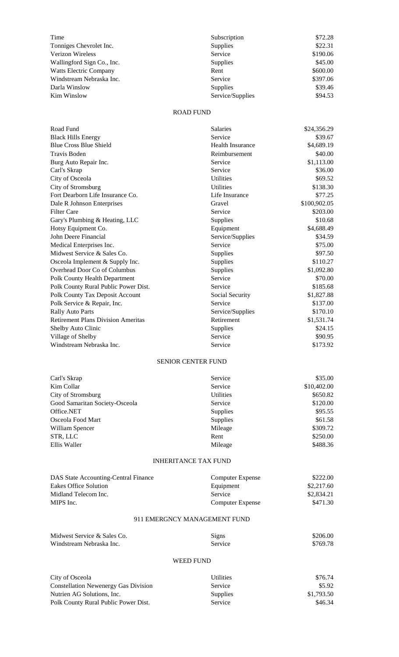| Time                          | Subscription     | \$72.28  |
|-------------------------------|------------------|----------|
| Tonniges Chevrolet Inc.       | <b>Supplies</b>  | \$22.31  |
| <b>Verizon Wireless</b>       | Service          | \$190.06 |
| Wallingford Sign Co., Inc.    | Supplies         | \$45.00  |
| <b>Watts Electric Company</b> | Rent             | \$600.00 |
| Windstream Nebraska Inc.      | Service          | \$397.06 |
| Darla Winslow                 | Supplies         | \$39.46  |
| Kim Winslow                   | Service/Supplies | \$94.53  |

## ROAD FUND

| Road Fund                                 | Salaries                  | \$24,356.29  |
|-------------------------------------------|---------------------------|--------------|
| <b>Black Hills Energy</b>                 | Service                   | \$39.67      |
| <b>Blue Cross Blue Shield</b>             | <b>Health Insurance</b>   | \$4,689.19   |
| <b>Travis Boden</b>                       | Reimbursement             | \$40.00      |
| Burg Auto Repair Inc.                     | Service                   | \$1,113.00   |
| Carl's Skrap                              | Service                   | \$36.00      |
| City of Osceola                           | <b>Utilities</b>          | \$69.52      |
| City of Stromsburg                        | <b>Utilities</b>          | \$138.30     |
| Fort Dearborn Life Insurance Co.          | Life Insurance            | \$77.25      |
| Dale R Johnson Enterprises                | Gravel                    | \$100,902.05 |
| <b>Filter Care</b>                        | Service                   | \$203.00     |
| Gary's Plumbing & Heating, LLC            | Supplies                  | \$10.68      |
| Hotsy Equipment Co.                       | Equipment                 | \$4,688.49   |
| John Deere Financial                      | Service/Supplies          | \$34.59      |
| Medical Enterprises Inc.                  | Service                   | \$75.00      |
| Midwest Service & Sales Co.               | Supplies                  | \$97.50      |
| Osceola Implement & Supply Inc.           | Supplies                  | \$110.27     |
| Overhead Door Co of Columbus              | Supplies                  | \$1,092.80   |
| Polk County Health Department             | Service                   | \$70.00      |
| Polk County Rural Public Power Dist.      | Service                   | \$185.68     |
| Polk County Tax Deposit Account           | Social Security           | \$1,827.88   |
| Polk Service & Repair, Inc.               | Service                   | \$137.00     |
| <b>Rally Auto Parts</b>                   | Service/Supplies          | \$170.10     |
| <b>Retirement Plans Division Ameritas</b> | Retirement                | \$1,531.74   |
| Shelby Auto Clinic                        | Supplies                  | \$24.15      |
| Village of Shelby                         | Service                   | \$90.95      |
| Windstream Nebraska Inc.                  | Service                   | \$173.92     |
|                                           | <b>SENIOR CENTER FUND</b> |              |
|                                           |                           |              |

| Carl's Skrap                   | Service          | \$35.00     |
|--------------------------------|------------------|-------------|
| Kim Collar                     | Service          | \$10,402.00 |
| City of Stromsburg             | <b>Utilities</b> | \$650.82    |
| Good Samaritan Society-Osceola | Service          | \$120.00    |
| Office.NET                     | <b>Supplies</b>  | \$95.55     |
| Osceola Food Mart              | <b>Supplies</b>  | \$61.58     |
| William Spencer                | Mileage          | \$309.72    |
| STR, LLC                       | Rent             | \$250.00    |
| Ellis Waller                   | Mileage          | \$488.36    |

## INHERITANCE TAX FUND

| DAS State Accounting-Central Finance | Computer Expense        | \$222.00   |
|--------------------------------------|-------------------------|------------|
| Eakes Office Solution                | Equipment               | \$2,217.60 |
| Midland Telecom Inc.                 | Service                 | \$2,834.21 |
| MIPS Inc.                            | <b>Computer Expense</b> | \$471.30   |

## 911 EMERGNCY MANAGEMENT FUND

| Midwest Service & Sales Co. | Signs          | \$206.00 |
|-----------------------------|----------------|----------|
| Windstream Nebraska Inc.    | <b>Service</b> | \$769.78 |

## WEED FUND

| City of Osceola                             | Utilities      | \$76.74    |
|---------------------------------------------|----------------|------------|
| <b>Constellation Newenergy Gas Division</b> | Service        | \$5.92     |
| Nutrien AG Solutions, Inc.                  | Supplies       | \$1,793.50 |
| Polk County Rural Public Power Dist.        | <b>Service</b> | \$46.34    |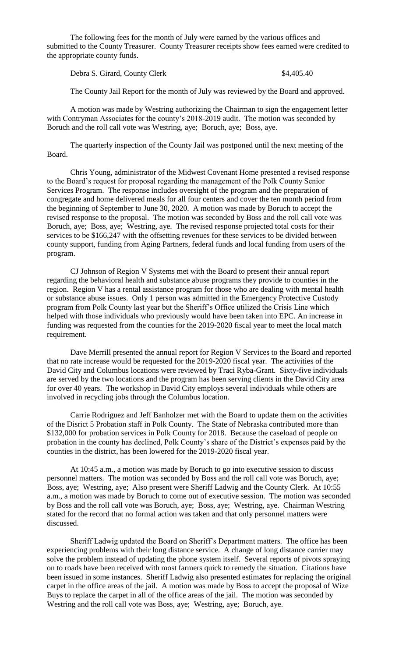The following fees for the month of July were earned by the various offices and submitted to the County Treasurer. County Treasurer receipts show fees earned were credited to the appropriate county funds.

Debra S. Girard, County Clerk  $$4,405.40$ 

The County Jail Report for the month of July was reviewed by the Board and approved.

A motion was made by Westring authorizing the Chairman to sign the engagement letter with Contryman Associates for the county's 2018-2019 audit. The motion was seconded by Boruch and the roll call vote was Westring, aye; Boruch, aye; Boss, aye.

The quarterly inspection of the County Jail was postponed until the next meeting of the Board.

Chris Young, administrator of the Midwest Covenant Home presented a revised response to the Board's request for proposal regarding the management of the Polk County Senior Services Program. The response includes oversight of the program and the preparation of congregate and home delivered meals for all four centers and cover the ten month period from the beginning of September to June 30, 2020. A motion was made by Boruch to accept the revised response to the proposal. The motion was seconded by Boss and the roll call vote was Boruch, aye; Boss, aye; Westring, aye. The revised response projected total costs for their services to be \$166,247 with the offsetting revenues for these services to be divided between county support, funding from Aging Partners, federal funds and local funding from users of the program.

CJ Johnson of Region V Systems met with the Board to present their annual report regarding the behavioral health and substance abuse programs they provide to counties in the region. Region V has a rental assistance program for those who are dealing with mental health or substance abuse issues. Only 1 person was admitted in the Emergency Protective Custody program from Polk County last year but the Sheriff's Office utilized the Crisis Line which helped with those individuals who previously would have been taken into EPC. An increase in funding was requested from the counties for the 2019-2020 fiscal year to meet the local match requirement.

Dave Merrill presented the annual report for Region V Services to the Board and reported that no rate increase would be requested for the 2019-2020 fiscal year. The activities of the David City and Columbus locations were reviewed by Traci Ryba-Grant. Sixty-five individuals are served by the two locations and the program has been serving clients in the David City area for over 40 years. The workshop in David City employs several individuals while others are involved in recycling jobs through the Columbus location.

Carrie Rodriguez and Jeff Banholzer met with the Board to update them on the activities of the Disrict 5 Probation staff in Polk County. The State of Nebraska contributed more than \$132,000 for probation services in Polk County for 2018. Because the caseload of people on probation in the county has declined, Polk County's share of the District's expenses paid by the counties in the district, has been lowered for the 2019-2020 fiscal year.

At 10:45 a.m., a motion was made by Boruch to go into executive session to discuss personnel matters. The motion was seconded by Boss and the roll call vote was Boruch, aye; Boss, aye; Westring, aye; Also present were Sheriff Ladwig and the County Clerk. At 10:55 a.m., a motion was made by Boruch to come out of executive session. The motion was seconded by Boss and the roll call vote was Boruch, aye; Boss, aye; Westring, aye. Chairman Westring stated for the record that no formal action was taken and that only personnel matters were discussed.

Sheriff Ladwig updated the Board on Sheriff's Department matters. The office has been experiencing problems with their long distance service. A change of long distance carrier may solve the problem instead of updating the phone system itself. Several reports of pivots spraying on to roads have been received with most farmers quick to remedy the situation. Citations have been issued in some instances. Sheriff Ladwig also presented estimates for replacing the original carpet in the office areas of the jail. A motion was made by Boss to accept the proposal of Wize Buys to replace the carpet in all of the office areas of the jail. The motion was seconded by Westring and the roll call vote was Boss, aye; Westring, aye; Boruch, aye.